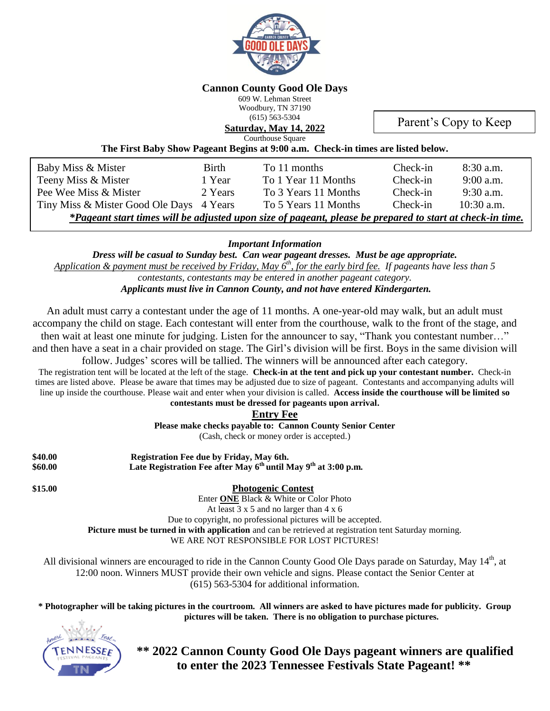

#### **Cannon County Good Ole Days**

609 W. Lehman Street Woodbury, TN 37190 (615) 563-5304

**Saturday, May 14, 2022**

Parent's Copy to Keep

Courthouse Square

| The First Baby Show Pageant Begins at 9:00 a.m. Check-in times are listed below. |  |  |
|----------------------------------------------------------------------------------|--|--|
|----------------------------------------------------------------------------------|--|--|

| Baby Miss & Mister                                                                                        | Birth   | To 11 months         | Check-in | $8:30$ a.m.  |  |
|-----------------------------------------------------------------------------------------------------------|---------|----------------------|----------|--------------|--|
| Teeny Miss & Mister                                                                                       | 1 Year  | To 1 Year 11 Months  | Check-in | $9:00$ a.m.  |  |
| Pee Wee Miss & Mister                                                                                     | 2 Years | To 3 Years 11 Months | Check-in | $9:30$ a.m.  |  |
| Tiny Miss & Mister Good Ole Days 4 Years                                                                  |         | To 5 Years 11 Months | Check-in | $10:30$ a.m. |  |
| *Pageant start times will be adjusted upon size of pageant, please be prepared to start at check-in time. |         |                      |          |              |  |

*Important Information*

*Dress will be casual to Sunday best. Can wear pageant dresses. Must be age appropriate.*  Application & payment must be received by Friday, May 6<sup>th</sup>, for the early bird fee. If pageants have less than 5 *contestants, contestants may be entered in another pageant category. Applicants must live in Cannon County, and not have entered Kindergarten.*

An adult must carry a contestant under the age of 11 months. A one-year-old may walk, but an adult must accompany the child on stage. Each contestant will enter from the courthouse, walk to the front of the stage, and then wait at least one minute for judging. Listen for the announcer to say, "Thank you contestant number…" and then have a seat in a chair provided on stage. The Girl's division will be first. Boys in the same division will

follow. Judges' scores will be tallied. The winners will be announced after each category. The registration tent will be located at the left of the stage. **Check-in at the tent and pick up your contestant number.** Check-in times are listed above. Please be aware that times may be adjusted due to size of pageant. Contestants and accompanying adults will line up inside the courthouse. Please wait and enter when your division is called. **Access inside the courthouse will be limited so contestants must be dressed for pageants upon arrival.**

## **Entry Fee**

**Please make checks payable to: Cannon County Senior Center**

(Cash, check or money order is accepted.)

| \$40.00 | Registration Fee due by Friday, May 6th.                           |
|---------|--------------------------------------------------------------------|
| \$60.00 | Late Registration Fee after May $6th$ until May $9th$ at 3:00 p.m. |

**\$15.00 Photogenic Contest**

Enter **ONE** Black & White or Color Photo

At least 3 x 5 and no larger than 4 x 6

Due to copyright, no professional pictures will be accepted.

**Picture must be turned in with application** and can be retrieved at registration tent Saturday morning.

WE ARE NOT RESPONSIBLE FOR LOST PICTURES!

All divisional winners are encouraged to ride in the Cannon County Good Ole Days parade on Saturday, May 14<sup>th</sup>, at 12:00 noon. Winners MUST provide their own vehicle and signs. Please contact the Senior Center at (615) 563-5304 for additional information.

**\* Photographer will be taking pictures in the courtroom. All winners are asked to have pictures made for publicity. Group pictures will be taken. There is no obligation to purchase pictures.**



**\*\* 2022 Cannon County Good Ole Days pageant winners are qualified to enter the 2023 Tennessee Festivals State Pageant! \*\***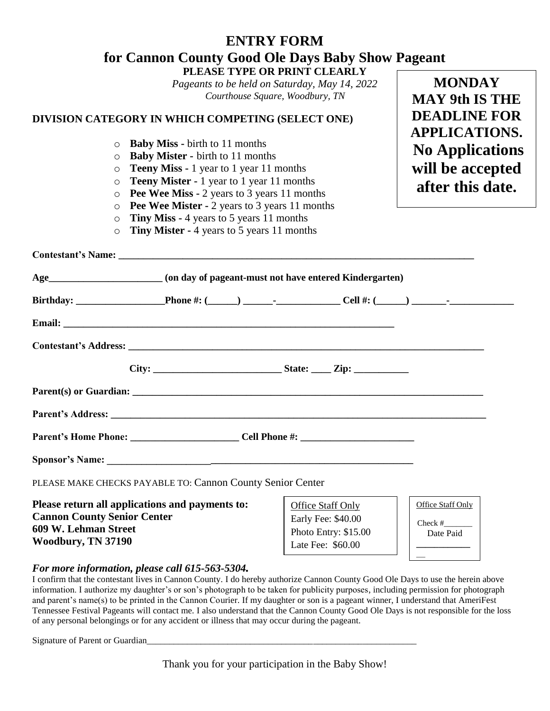## **ENTRY FORM for Cannon County Good Ole Days Baby Show Pageant PLEASE TYPE OR PRINT CLEARLY**

*Pageants to be held on Saturday, May 14, 2022 Courthouse Square, Woodbury, TN*

## **DIVISION CATEGORY IN WHICH COMPETING (SELECT ONE)**

- o **Baby Miss -** birth to 11 months
- o **Baby Mister -** birth to 11 months
- o **Teeny Miss -** 1 year to 1 year 11 months
- o **Teeny Mister -** 1 year to 1 year 11 months
- o **Pee Wee Miss -** 2 years to 3 years 11 months
- o **Pee Wee Mister -** 2 years to 3 years 11 months
- o **Tiny Miss -** 4 years to 5 years 11 months
- o **Tiny Mister -** 4 years to 5 years 11 months

| PLEASE MAKE CHECKS PAYABLE TO: Cannon County Senior Center                                                                          |                                                                                      |                                                                                     |  |  |  |
|-------------------------------------------------------------------------------------------------------------------------------------|--------------------------------------------------------------------------------------|-------------------------------------------------------------------------------------|--|--|--|
| Please return all applications and payments to:<br><b>Cannon County Senior Center</b><br>609 W. Lehman Street<br>Woodbury, TN 37190 | Office Staff Only<br>Early Fee: \$40.00<br>Photo Entry: \$15.00<br>Late Fee: \$60.00 | Office Staff Only<br>Check $#$ <sub>________</sub><br>Date Paid<br>________________ |  |  |  |

## *For more information, please call 615-563-5304.*

I confirm that the contestant lives in Cannon County. I do hereby authorize Cannon County Good Ole Days to use the herein above information. I authorize my daughter's or son's photograph to be taken for publicity purposes, including permission for photograph and parent's name(s) to be printed in the Cannon Courier. If my daughter or son is a pageant winner, I understand that AmeriFest Tennessee Festival Pageants will contact me. I also understand that the Cannon County Good Ole Days is not responsible for the loss of any personal belongings or for any accident or illness that may occur during the pageant.

Signature of Parent or Guardian

**MONDAY MAY 9th IS THE DEADLINE FOR APPLICATIONS. No Applications will be accepted after this date.**